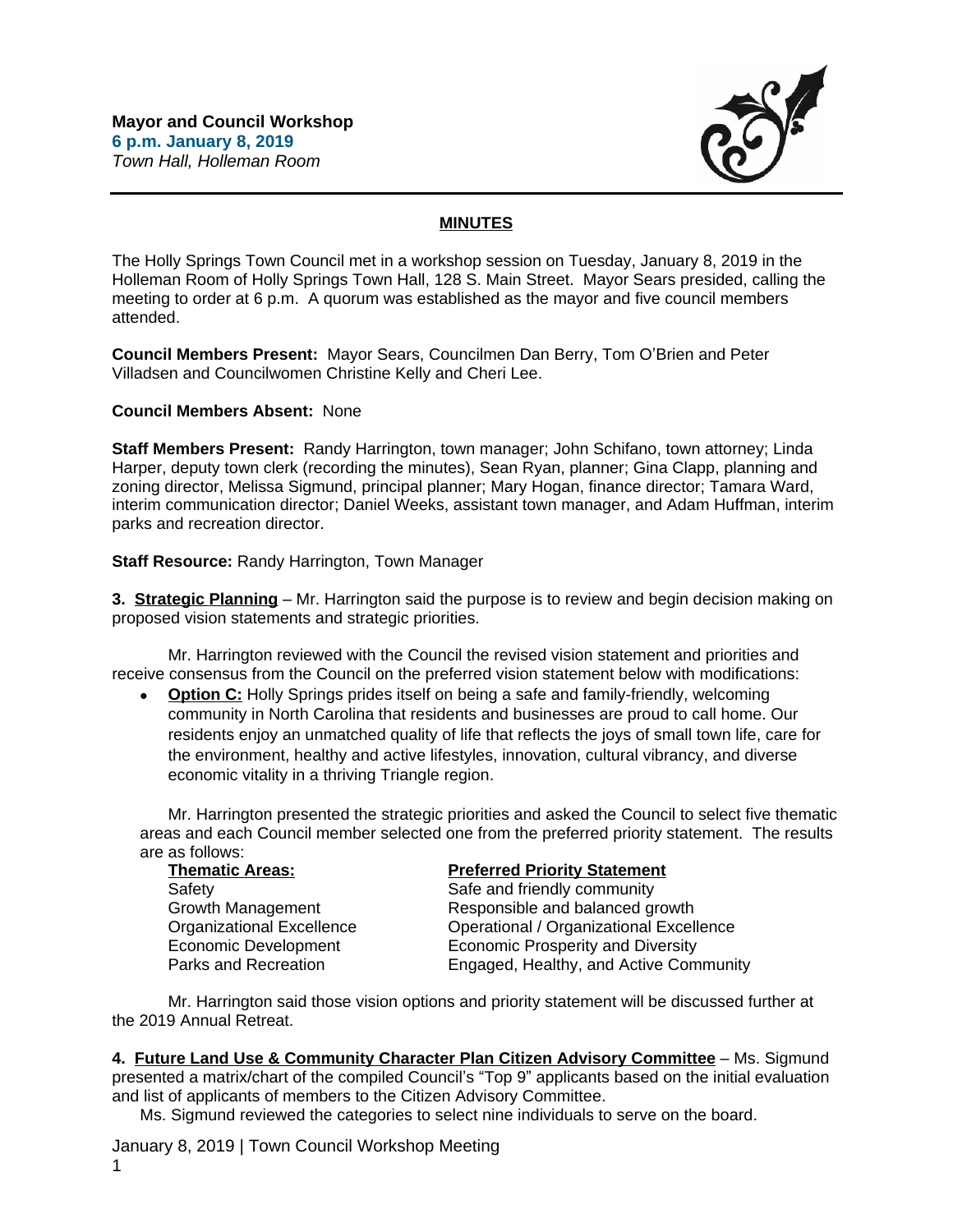

## **MINUTES**

The Holly Springs Town Council met in a workshop session on Tuesday, January 8, 2019 in the Holleman Room of Holly Springs Town Hall, 128 S. Main Street. Mayor Sears presided, calling the meeting to order at 6 p.m. A quorum was established as the mayor and five council members attended.

**Council Members Present:** Mayor Sears, Councilmen Dan Berry, Tom O'Brien and Peter Villadsen and Councilwomen Christine Kelly and Cheri Lee.

## **Council Members Absent:** None

**Staff Members Present:** Randy Harrington, town manager; John Schifano, town attorney; Linda Harper, deputy town clerk (recording the minutes), Sean Ryan, planner; Gina Clapp, planning and zoning director, Melissa Sigmund, principal planner; Mary Hogan, finance director; Tamara Ward, interim communication director; Daniel Weeks, assistant town manager, and Adam Huffman, interim parks and recreation director.

## **Staff Resource:** Randy Harrington, Town Manager

**3. Strategic Planning** – Mr. Harrington said the purpose is to review and begin decision making on proposed vision statements and strategic priorities.

Mr. Harrington reviewed with the Council the revised vision statement and priorities and receive consensus from the Council on the preferred vision statement below with modifications:

 **Option C:** Holly Springs prides itself on being a safe and family-friendly, welcoming community in North Carolina that residents and businesses are proud to call home. Our residents enjoy an unmatched quality of life that reflects the joys of small town life, care for the environment, healthy and active lifestyles, innovation, cultural vibrancy, and diverse economic vitality in a thriving Triangle region.

Mr. Harrington presented the strategic priorities and asked the Council to select five thematic areas and each Council member selected one from the preferred priority statement. The results are as follows:

| <b>Thematic Areas:</b>      | <b>Preferred Priority Statement</b>      |
|-----------------------------|------------------------------------------|
| Safety                      | Safe and friendly community              |
| Growth Management           | Responsible and balanced growth          |
| Organizational Excellence   | Operational / Organizational Excellence  |
| <b>Economic Development</b> | <b>Economic Prosperity and Diversity</b> |
| Parks and Recreation        | Engaged, Healthy, and Active Community   |

Mr. Harrington said those vision options and priority statement will be discussed further at the 2019 Annual Retreat.

**4. Future Land Use & Community Character Plan Citizen Advisory Committee** – Ms. Sigmund presented a matrix/chart of the compiled Council's "Top 9" applicants based on the initial evaluation and list of applicants of members to the Citizen Advisory Committee.

Ms. Sigmund reviewed the categories to select nine individuals to serve on the board.

January 8, 2019 | Town Council Workshop Meeting 1